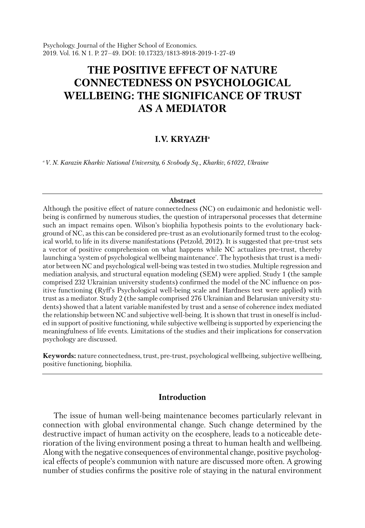Psychology. Journal of the Higher School of Economics. 2019. Vol. 16. N 1. P. 27–49. DOI: 10.17323/1813-8918-2019-1-27-49

# **THE POSITIVE EFFECT OF NATURE CONNECTEDNESS ON PSYCHOLOGICAL WELLBEING: THE SIGNIFICANCE OF TRUST AS A MEDIATOR**

## **I.V. KRYAZHa**

*aV. N. Karazin Kharkiv National University, 6 Svobody Sq., Kharkiv, 61022, Ukraine*

#### **Abstract**

Although the positive effect of nature connectedness (NC) on eudaimonic and hedonistic wellbeing is confirmed by numerous studies, the question of intrapersonal processes that determine such an impact remains open. Wilson's biophilia hypothesis points to the evolutionary background of NC, as this can be considered pre-trust as an evolutionarily formed trust to the ecological world, to life in its diverse manifestations (Petzold, 2012). It is suggested that pre-trust sets a vector of positive comprehension on what happens while NC actualizes pre-trust, thereby launching a 'system of psychological wellbeing maintenance'. The hypothesis that trust is a mediator between NC and psychological well-being was tested in two studies. Multiple regression and mediation analysis, and structural equation modeling (SEM) were applied. Study 1 (the sample comprised 232 Ukrainian university students) confirmed the model of the NC influence on positive functioning (Ryff's Psychological well-being scale and Hardness test were applied) with trust as a mediator. Study 2 (the sample comprised 276 Ukrainian and Belarusian university students) showed that a latent variable manifested by trust and a sense of coherence index mediated the relationship between NC and subjective well-being. It is shown that trust in oneself is included in support of positive functioning, while subjective wellbeing is supported by experiencing the meaningfulness of life events. Limitations of the studies and their implications for conservation psychology are discussed.

**Keywords:** nature connectedness, trust, pre-trust, psychological wellbeing, subjective wellbeing, positive functioning, biophilia.

# **Introduction**

The issue of human well-being maintenance becomes particularly relevant in connection with global environmental change. Such change determined by the destructive impact of human activity on the ecosphere, leads to a noticeable deterioration of the living environment posing a threat to human health and wellbeing. Along with the negative consequences of environmental change, positive psychological effects of people's communion with nature are discussed more often. A growing number of studies confirms the positive role of staying in the natural environment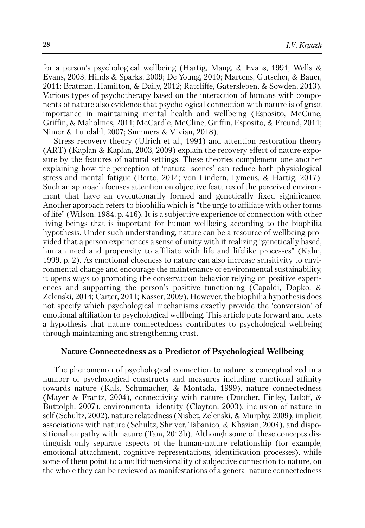for a person's psychological wellbeing (Hartig, Mang, & Evans, 1991; Wells & Evans, 2003; Hinds & Sparks, 2009; De Young, 2010; Martens, Gutscher, & Bauer, 2011; Bratman, Hamilton, & Daily, 2012; Ratcliffe, Gatersleben, & Sowden, 2013). Various types of psychotherapy based on the interaction of humans with components of nature also evidence that psychological connection with nature is of great importance in maintaining mental health and wellbeing (Esposito, McCune, Griffin, & Maholmes, 2011; McCardle, McCline, Griffin, Esposito, & Freund, 2011; Nimer & Lundahl, 2007; Summers & Vivian, 2018).

Stress recovery theory (Ulrich et al., 1991) and attention restoration theory (ART) (Kaplan & Kaplan, 2003, 2009) explain the recovery effect of nature exposure by the features of natural settings. These theories complement one another explaining how the perception of 'natural scenes' can reduce both physiological stress and mental fatigue (Berto, 2014; von Lindern, Lymeus, & Hartig, 2017). Such an approach focuses attention on objective features of the perceived environment that have an evolutionarily formed and genetically fixed significance. Another approach refers to biophilia which is "the urge to affiliate with other forms of life" (Wilson, 1984, p. 416). It is a subjective experience of connection with other living beings that is important for human wellbeing according to the biophilia hypothesis. Under such understanding, nature can be a resource of wellbeing provided that a person experiences a sense of unity with it realizing "genetically based, human need and propensity to affiliate with life and lifelike processes" (Kahn, 1999, p. 2). As emotional closeness to nature can also increase sensitivity to environmental change and encourage the maintenance of environmental sustainability, it opens ways to promoting the conservation behavior relying on positive experiences and supporting the person's positive functioning (Capaldi, Dopko, & Zelenski, 2014; Carter, 2011; Kasser, 2009). However, the biophilia hypothesis does not specify which psychological mechanisms exactly provide the 'conversion' of emotional affiliation to psychological wellbeing. This article puts forward and tests a hypothesis that nature connectedness contributes to psychological wellbeing through maintaining and strengthening trust.

#### **Nature Connectedness as a Predictor of Psychological Wellbeing**

The phenomenon of psychological connection to nature is conceptualized in a number of psychological constructs and measures including emotional affinity towards nature (Kals, Schumacher, & Montada, 1999), nature connectedness (Mayer & Frantz, 2004), connectivity with nature (Dutcher, Finley, Luloff, & Buttolph, 2007), environmental identity (Clayton, 2003), inclusion of nature in self (Schultz, 2002), nature relatedness (Nisbet, Zelenski, & Murphy, 2009), implicit associations with nature (Schultz, Shriver, Tabanico, & Khazian, 2004), and dispositional empathy with nature (Tam, 2013b). Although some of these concepts distinguish only separate aspects of the human-nature relationship (for example, emotional attachment, cognitive representations, identification processes), while some of them point to a multidimensionality of subjective connection to nature, on the whole they can be reviewed as manifestations of a general nature connectedness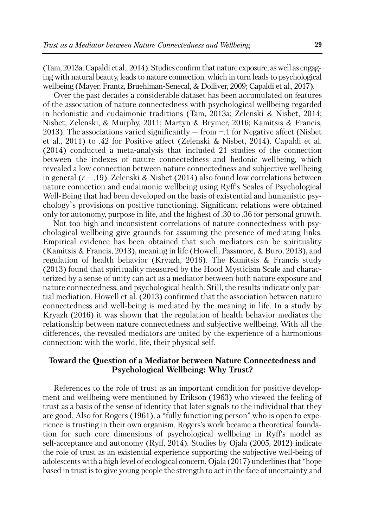(Tam, 2013a;Capaldi et al., 2014).Studies confirm that nature exposure, aswell as engaging with natural beauty, leads to nature connection, which in turn leads to psychological wellbeing (Mayer, Frantz, Bruehlman-Senecal, & Dolliver, 2009; Capaldi et al., 2017).

Over the past decades a considerable dataset has been accumulated on features of the association of nature connectedness with psychological wellbeing regarded in hedonistic and eudaimonic traditions (Tam, 2013a; Zelenski & Nisbet, 2014; Nisbet, Zelenski, & Murphy, 2011; Martyn & Brymer, 2016; Kamitsis & Francis, 2013). The associations varied significantly  $-$  from  $-1$  for Negative affect (Nisbet et al., 2011) to .42 for Positive affect (Zelenski & Nisbet, 2014). Capaldi et al. (2014) conducted a meta-analysis that included 21 studies of the connection between the indexes of nature connectedness and hedonic wellbeing, which revealed a low connection between nature connectedness and subjective wellbeing in general (*r* = .19). Zelenski & Nisbet (2014) also found low correlations between nature connection and eudaimonic wellbeing using Ryff's Scales of Psychological Well-Being that had been developed on the basis of existential and humanistic psychology`s provisions on positive functioning. Significant relations were obtained only for autonomy, purpose in life, and the highest of .30 to .36 for personal growth.

Not too high and inconsistent correlations of nature connectedness with psychological wellbeing give grounds for assuming the presence of mediating links. Empirical evidence has been obtained that such mediators can be spirituality (Kamitsis & Francis, 2013), meaning in life (Howell, Passmore, & Buro, 2013), and regulation of health behavior (Kryazh, 2016). The Kamitsis & Francis study (2013) found that spirituality measured by the Hood Mysticism Scale and characterized by a sense of unity can act as a mediator between both nature exposure and nature connectedness, and psychological health. Still, the results indicate only partial mediation. Howell et al. (2013) confirmed that the association between nature connectedness and well-being is mediated by the meaning in life. In a study by Kryazh (2016) it was shown that the regulation of health behavior mediates the relationship between nature connectedness and subjective wellbeing. With all the differences, the revealed mediators are united by the experience of a harmonious connection: with the world, life, their physical self.

## **Toward the Question of a Mediator between Nature Connectedness and Psychological Wellbeing: Why Trust?**

References to the role of trust as an important condition for positive development and wellbeing were mentioned by Erikson (1963) who viewed the feeling of trust as a basis of the sense of identity that later signals to the individual that they are good. Also for Rogers (1961), a "fully functioning person" who is open to experience is trusting in their own organism. Rogers's work became a theoretical foundation for such core dimensions of psychological wellbeing in Ryff's model as self-acceptance and autonomy (Ryff, 2014). Studies by Ojala (2005, 2012) indicate the role of trust as an existential experience supporting the subjective well-being of adolescents with a high level of ecological concern. Ojala (2017) underlines that "hope based in trust is to give young people the strength to act in the face of uncertainty and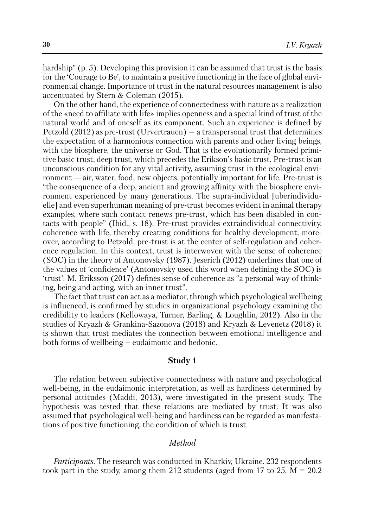hardship" (p. 5). Developing this provision it can be assumed that trust is the basis for the 'Courage to Be', to maintain a positive functioning in the face of global environmental change. Importance of trust in the natural resources management is also accentuated by Stern & Coleman (2015).

On the other hand, the experience of connectedness with nature as a realization of the «need to affiliate with life» implies openness and a special kind of trust of the natural world and of oneself as its component. Such an experience is defined by Petzold (2012) as pre-trust (Urvertrauen) — a transpersonal trust that determines the expectation of a harmonious connection with parents and other living beings, with the biosphere, the universe or God. That is the evolutionarily formed primitive basic trust, deep trust, which precedes the Erikson's basic trust. Pre-trust is an unconscious condition for any vital activity, assuming trust in the ecological environment — air, water, food, new objects, potentially important for life. Pre-trust is "the consequence of a deep, ancient and growing affinity with the biosphere environment experienced by many generations. The supra-individual [uberindividuelle] and even superhuman meaning of pre-trust becomes evident in animal therapy examples, where such contact renews pre-trust, which has been disabled in contacts with people" (Ibid., s. 18). Pre-trust provides extraindividual connectivity, coherence with life, thereby creating conditions for healthy development, moreover, according to Petzold, pre-trust is at the center of self-regulation and coherence regulation. In this context, trust is interwoven with the sense of coherence (SOC) in the theory of Antonovsky (1987). Jeserich (2012) underlines that one of the values of 'confidence' (Antonovsky used this word when defining the SOC) is 'trust'. M. Eriksson (2017) defines sense of coherence as "a personal way of thinking, being and acting, with an inner trust".

The fact that trust can act as a mediator, through which psychological wellbeing is influenced, is confirmed by studies in organizational psychology examining the credibility to leaders (Kellowaya, Turner, Barling, & Loughlin, 2012). Also in the studies of Kryazh & Grankina-Sazonova (2018) and Kryazh & Levenetz (2018) it is shown that trust mediates the connection between emotional intelligence and both forms of wellbeing – eudaimonic and hedonic.

## **Study 1**

The relation between subjective connectedness with nature and psychological well-being, in the eudaimonic interpretation, as well as hardiness determined by personal attitudes (Maddi, 2013), were investigated in the present study. The hypothesis was tested that these relations are mediated by trust. It was also assumed that psychological well-being and hardiness can be regarded as manifestations of positive functioning, the condition of which is trust.

## *Method*

*Participants.* The research was conducted in Kharkiv, Ukraine. 232 respondents took part in the study, among them 212 students (aged from 17 to 25,  $M = 20.2$ )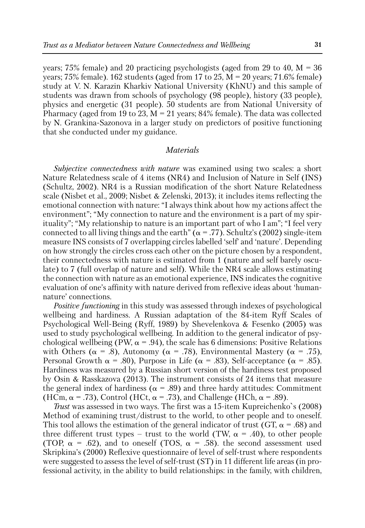years; 75% female) and 20 practicing psychologists (aged from 29 to 40,  $M = 36$ years; 75% female). 162 students (aged from 17 to 25,  $M = 20$  years; 71.6% female) study at V. N. Karazin Kharkiv National University (KhNU) and this sample of students was drawn from schools of psychology (98 people), history (33 people), physics and energetic (31 people). 50 students are from National University of Pharmacy (aged from 19 to 23,  $M = 21$  years; 84% female). The data was collected by N. Grankina-Sazonova in a larger study on predictors of positive functioning that she conducted under my guidance.

#### *Materials*

*Subjective connectedness with nature* was examined using two scales: a short Nature Relatedness scale of 4 items (NR4) and Inclusion of Nature in Self (INS) (Schultz, 2002). NR4 is a Russian modification of the short Nature Relatedness scale (Nisbet et al., 2009; Nisbet & Zelenski, 2013); it includes items reflecting the emotional connection with nature: "I always think about how my actions affect the environment"; "My connection to nature and the environment is a part of my spirituality"; "My relationship to nature is an important part of who I am"; "I feel very connected to all living things and the earth" ( $\alpha$  = .77). Schultz's (2002) single-item measure INS consists of 7 overlapping circles labelled 'self' and 'nature'. Depending on how strongly the circles cross each other on the picture chosen by a respondent, their connectedness with nature is estimated from 1 (nature and self barely osculate) to 7 (full overlap of nature and self). While the NR4 scale allows estimating the connection with nature as an emotional experience, INS indicates the cognitive evaluation of one's affinity with nature derived from reflexive ideas about 'humannature' connections.

*Positive functioning* in this study was assessed through indexes of psychological wellbeing and hardiness. A Russian adaptation of the 84-item Ryff Scales of Psychological Well-Being (Ryff, 1989) by Shevelenkova & Fesenko (2005) was used to study psychological wellbeing. In addition to the general indicator of psychological wellbeing (PW,  $\alpha$  = .94), the scale has 6 dimensions: Positive Relations with Others ( $\alpha = .8$ ), Autonomy ( $\alpha = .78$ ), Environmental Mastery ( $\alpha = .75$ ), Personal Growth  $\alpha$  = .80), Purpose in Life ( $\alpha$  = .83), Self-acceptance ( $\alpha$  = .85). Hardiness was measured by a Russian short version of the hardiness test proposed by Osin & Rasskazova (2013). The instrument consists of 24 items that measure the general index of hardiness ( $\alpha$  = .89) and three hardy attitudes: Commitment (HCm,  $\alpha$  = .73), Control (HCt,  $\alpha$  = .73), and Challenge (HCh,  $\alpha$  = .89).

*Trust* was assessed in two ways. The first was a 15-item Kupreichenko`s (2008) Method of examining trust/distrust to the world, to other people and to oneself. This tool allows the estimation of the general indicator of trust (GT,  $\alpha$  = .68) and three different trust types – trust to the world (TW,  $\alpha$  = .40), to other people (TOP,  $\alpha$  = .62), and to oneself (TOS,  $\alpha$  = .58). the second assessment used Skripkina's (2000) Reflexive questionnaire of level of self-trust where respondents were suggested to assess the level of self-trust (ST) in 11 different life areas (in professional activity, in the ability to build relationships: in the family, with children,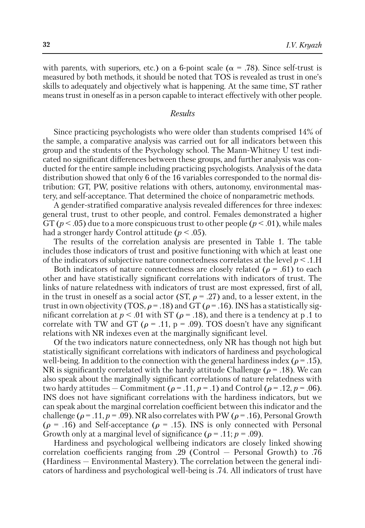with parents, with superiors, etc.) on a 6-point scale ( $\alpha = .78$ ). Since self-trust is measured by both methods, it should be noted that TOS is revealed as trust in one's skills to adequately and objectively what is happening. At the same time, ST rather means trust in oneself as in a person capable to interact effectively with other people.

#### *Results*

Since practicing psychologists who were older than students comprised 14% of the sample, a comparative analysis was carried out for all indicators between this group and the students of the Psychology school. The Mann-Whitney U test indicated no significant differences between these groups, and further analysis was conducted for the entire sample including practicing psychologists. Analysis of the data distribution showed that only 6 of the 16 variables corresponded to the normal distribution: GT, PW, positive relations with others, autonomy, environmental mastery, and self-acceptance. That determined the choice of nonparametric methods.

A gender-stratified comparative analysis revealed differences for three indexes: general trust, trust to other people, and control. Females demonstrated a higher GT ( $p < .05$ ) due to a more conspicuous trust to other people ( $p < .01$ ), while males had a stronger hardy Control attitude (*p* < .05).

The results of the correlation analysis are presented in Table 1. The table includes those indicators of trust and positive functioning with which at least one of the indicators of subjective nature connectedness correlates at the level *p* < .1.H

Both indicators of nature connectedness are closely related ( $\rho = .61$ ) to each other and have statistically significant correlations with indicators of trust. The links of nature relatedness with indicators of trust are most expressed, first of all, in the trust in oneself as a social actor (ST,  $\rho = .27$ ) and, to a lesser extent, in the trust in own objectivity (TOS,  $\rho$  = .18) and GT ( $\rho$  = .16). INS has a statistically significant correlation at  $p < .01$  with ST ( $\rho = .18$ ), and there is a tendency at p.1 to correlate with TW and GT ( $\rho = .11$ , p = .09). TOS doesn't have any significant relations with NR indexes even at the marginally significant level.

Of the two indicators nature connectedness, only NR has though not high but statistically significant correlations with indicators of hardiness and psychological well-being. In addition to the connection with the general hardiness index ( $\rho = .15$ ), NR is significantly correlated with the hardy attitude Challenge ( $\rho = .18$ ). We can also speak about the marginally significant correlations of nature relatedness with two hardy attitudes – Commitment ( $\rho = .11$ ,  $p = .1$ ) and Control ( $\rho = .12$ ,  $p = .06$ ). INS does not have significant correlations with the hardiness indicators, but we can speak about the marginal correlation coefficient between this indicator and the challenge ( $\rho = .11$ ,  $p = .09$ ). NR also correlates with PW ( $\rho = .16$ ), Personal Growth  $(\rho = .16)$  and Self-acceptance  $(\rho = .15)$ . INS is only connected with Personal Growth only at a marginal level of significance ( $\rho = .11$ ;  $p = .09$ ).

Hardiness and psychological wellbeing indicators are closely linked showing correlation coefficients ranging from .29 (Control — Personal Growth) to .76 (Hardiness — Environmental Mastery). The correlation between the general indicators of hardiness and psychological well-being is .74. All indicators of trust have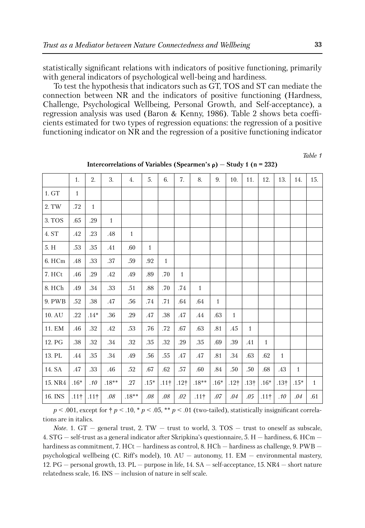statistically significant relations with indicators of positive functioning, primarily with general indicators of psychological well-being and hardiness.

To test the hypothesis that indicators such as GT, TOS and ST can mediate the connection between NR and the indicators of positive functioning (Hardness, Challenge, Psychological Wellbeing, Personal Growth, and Self-acceptance), a regression analysis was used (Baron & Kenny, 1986). Table 2 shows beta coefficients estimated for two types of regression equations: the regression of a positive functioning indicator on NR and the regression of a positive functioning indicator

*Table 1*

|                   | 1.               | 2.           | 3.           | $\overline{4}$ . | 5.           | 6.           | 7.           | 8.           | 9.           | 10.              | 11.          | 12.                | 13.          | 14.          | 15.          |
|-------------------|------------------|--------------|--------------|------------------|--------------|--------------|--------------|--------------|--------------|------------------|--------------|--------------------|--------------|--------------|--------------|
| $1.\,\mathrm{GT}$ | $\mathbf{1}$     |              |              |                  |              |              |              |              |              |                  |              |                    |              |              |              |
| 2. TW             | .72              | $\mathbf{1}$ |              |                  |              |              |              |              |              |                  |              |                    |              |              |              |
| 3. TOS            | .65              | .29          | $\mathbf{1}$ |                  |              |              |              |              |              |                  |              |                    |              |              |              |
| 4. ST             | .42              | .23          | .48          | $\mathbf{1}$     |              |              |              |              |              |                  |              |                    |              |              |              |
| $5. \ \mathrm{H}$ | .53              | .35          | .41          | .60              | $\mathbf{1}$ |              |              |              |              |                  |              |                    |              |              |              |
| 6. HCm            | .48              | .33          | .37          | .59              | .92          | $\mathbf{1}$ |              |              |              |                  |              |                    |              |              |              |
| 7. HCt            | .46              | .29          | .42          | .49              | .89          | .70          | $\mathbf{1}$ |              |              |                  |              |                    |              |              |              |
| 8. HCh            | .49              | .34          | .33          | .51              | .88          | .70          | .74          | $\mathbf{1}$ |              |                  |              |                    |              |              |              |
| 9. PWB            | .52              | .38          | .47          | .56              | .74          | .71          | .64          | .64          | $\mathbf{1}$ |                  |              |                    |              |              |              |
| 10. AU            | .22              | $.14*$       | .36          | .29              | .47          | .38          | .47          | .44          | .63          | $\mathbf{1}$     |              |                    |              |              |              |
| 11. EM            | .46              | .32          | .42          | .53              | .76          | .72          | .67          | .63          | .81          | .45              | $\mathbf{1}$ |                    |              |              |              |
| 12. PG            | .38              | .32          | .34          | .32              | .35          | $.32\,$      | .29          | $.35\,$      | .69          | .39              | .41          | $\mathbf{1}$       |              |              |              |
| 13. PL            | .44              | .35          | .34          | .49              | .56          | .55          | .47          | .47          | .81          | .34              | .63          | .62                | $\mathbf{1}$ |              |              |
| 14. SA            | .47              | .33          | .46          | $.52\,$          | .67          | .62          | .57          | .60          | .84          | .50              | .50          | $.68\,$            | .43          | $\mathbf{1}$ |              |
| 15. NR4           | $.16*$           | .10          | $.18**$      | .27              | $.15*$       | $.11\dagger$ | $.12\dagger$ | $.18**$      | $.16*$       | .12 <sub>1</sub> | $.13\dagger$ | $.16*$             | $.13\dagger$ | $.15*$       | $\mathbf{1}$ |
| 16. INS           | .11 <sup>†</sup> | $.11\dagger$ | $.08\,$      | $.18**$          | .08          | $.08\,$      | $.02\,$      | $.11\dagger$ | $.07\,$      | .04              | .05          | $.11$ <sup>+</sup> | .10          | .04          | .61          |

**Intercorrelations of Variables (Spearmen's ) — Study 1 (n = 232)**

 $p < .001$ , except for  $\dagger p < .10$ ,  $\dagger p < .05$ ,  $\dagger \dagger p < .01$  (two-tailed), statistically insignificant correlations are in italics.

*Note.* 1. GT – general trust, 2. TW – trust to world, 3. TOS – trust to oneself as subscale, 4. STG — self-trust as a general indicator after Skripkina's questionnaire, 5. H — hardiness, 6. HCm hardiness as commitment, 7. HCt — hardiness as control, 8. HCh — hardiness as challenge, 9. PWB psychological wellbeing (C. Riff's model), 10. AU — autonomy, 11. EM — environmental mastery, 12. PG — personal growth, 13. PL — purpose in life, 14. SA — self-acceptance, 15. NR4 — short nature relatedness scale, 16. INS — inclusion of nature in self scale.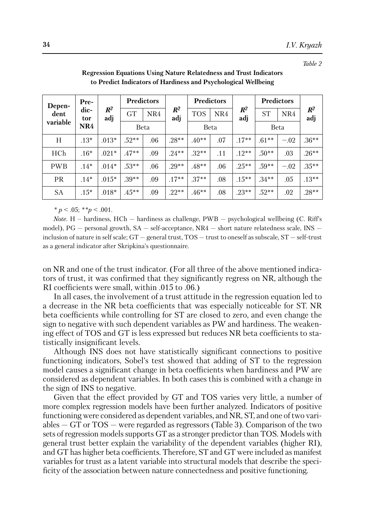*Table 2*

| Depen-<br>dent<br>variable | Pre-        |              | <b>Predictors</b> |     |              |             | <b>Predictors</b> |              | <b>Predictors</b> |        |              |
|----------------------------|-------------|--------------|-------------------|-----|--------------|-------------|-------------------|--------------|-------------------|--------|--------------|
|                            | dic-<br>tor | $R^2$<br>adj | <b>GT</b>         | NR4 | $R^2$<br>adj | <b>TOS</b>  | NR4               | $R^2$<br>adj | <b>ST</b>         | NR4    | $R^2$<br>adj |
|                            | NR4         |              | <b>Beta</b>       |     |              | <b>Beta</b> |                   |              | <b>Beta</b>       |        |              |
| Н                          | $.13*$      | $.013*$      | $.52**$           | .06 | $.28**$      | $.40**$     | .07               | $.17***$     | $.61***$          | $-.02$ | $.36**$      |
| HCh                        | $.16*$      | $.021*$      | $.47**$           | .09 | $.24***$     | $.32**$     | .11               | $.12**$      | $.50**$           | .03    | $.26**$      |
| <b>PWB</b>                 | $.14*$      | $.014*$      | $.53***$          | .06 | $.29**$      | $.48**$     | .06               | $.25***$     | $.59**$           | $-.02$ | $.35***$     |
| <b>PR</b>                  | $.14*$      | $.015*$      | $.39**$           | .09 | $.17***$     | $.37**$     | .08               | $.15***$     | $.34***$          | .05    | $.13***$     |
| <b>SA</b>                  | $.15*$      | $.018*$      | $.45***$          | .09 | $.22**$      | $.46**$     | .08               | $.23**$      | $.52**$           | .02    | $.28**$      |

**Regression Equations Using Nature Relatedness and Trust Indicators to Predict Indicators of Hardiness and Psychological Wellbeing**

*\* p* < .05; *\*\*p <* .001.

*Note.* H – hardiness, HCh – hardiness as challenge,  $PWB$  – psychological wellbeing (C. Riff's model),  $PG$  — personal growth,  $SA$  — self-acceptance,  $NR4$  — short nature relatedness scale,  $INS$  inclusion of nature in self scale; GT — general trust, TOS — trust to oneself as subscale, ST — self-trust as a general indicator after Skripkina's questionnaire.

on NR and one of the trust indicator. (For all three of the above mentioned indicators of trust, it was confirmed that they significantly regress on NR, although the RІ coefficients were small, within .015 to .06.)

In all cases, the involvement of a trust attitude in the regression equation led to a decrease in the NR beta coefficients that was especially noticeable for ST. NR beta coefficients while controlling for ST are closed to zero, and even change the sign to negative with such dependent variables as PW and hardiness. The weakening effect of TOS and GT is less expressed but reduces NR beta coefficients to statistically insignificant levels.

Although INS does not have statistically significant connections to positive functioning indicators, Sobel's test showed that adding of ST to the regression model causes a significant change in beta coefficients when hardiness and PW are considered as dependent variables. In both cases this is combined with a change in the sign of INS to negative.

Given that the effect provided by GT and TOS varies very little, a number of more complex regression models have been further analyzed. Indicators of positive functioning were considered as dependent variables, and NR, ST, and one oftwo variables — GT or TOS — were regarded as regressors (Table 3). Comparison of the two sets of regression models supports GT as a stronger predictor than TOS. Models with general trust better explain the variability of the dependent variables (higher RІ), and GT has higher beta coefficients. Therefore, ST and GT were included as manifest variables for trust as a latent variable into structural models that describe the specificity of the association between nature connectedness and positive functioning.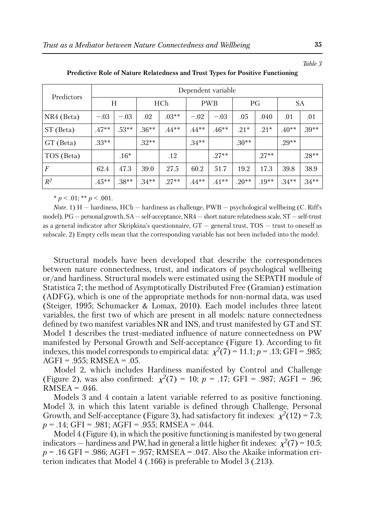| ss and Trust Types for Positive Functioning |            |    |    |  |  |  |  |  |  |  |  |
|---------------------------------------------|------------|----|----|--|--|--|--|--|--|--|--|
| Dependent variable                          |            |    |    |  |  |  |  |  |  |  |  |
|                                             | <b>PWB</b> | РG | SА |  |  |  |  |  |  |  |  |

**Predictive Role of Nature Relatedne** 

| Predictors       | Dependent variable |         |          |          |          |            |         |         |          |          |  |  |  |  |
|------------------|--------------------|---------|----------|----------|----------|------------|---------|---------|----------|----------|--|--|--|--|
|                  | Н                  |         | HCh      |          |          | <b>PWB</b> |         | PG      | SА       |          |  |  |  |  |
| NR4 (Beta)       | $-.03$             | $-.03$  | .02      | $.03**$  | $-.02$   | $-.03$     | .05     | .040    | .01      | .01      |  |  |  |  |
| ST (Beta)        | $.47**$            | $.53**$ | $.36**$  | $.44***$ | $.44***$ | $.46**$    | $.21*$  | $.21*$  | $.40**$  | $.39**$  |  |  |  |  |
| GT (Beta)        | $.33**$            |         | $.32**$  |          | $.34***$ |            | $.30**$ |         | $.29**$  |          |  |  |  |  |
| TOS (Beta)       |                    | $.16*$  |          | .12      |          | $.27**$    |         | $.27**$ |          | $.28**$  |  |  |  |  |
| $\boldsymbol{F}$ | 62.4               | 47.3    | 39.0     | 27.5     | 60.2     | 51.7       | 19.2    | 17.3    | 39.8     | 38.9     |  |  |  |  |
| $R^2$            | $.45**$            | $.38**$ | $.34***$ | $.27**$  | $.44***$ | $.41**$    | $.20**$ | $.19**$ | $.34***$ | $.34***$ |  |  |  |  |

 $* p < .01; ** p < .001.$ 

*Note.* 1) H — hardiness, HCh — hardiness as challenge, PWB — psychological wellbeing (C. Riff's model),PG — personal growth, SA — self-acceptance, NR4 — short nature relatednessscale, ST — self-trust as a general indicator after Skripkina's questionnaire, GT — general trust, TOS — trust to oneself as subscale. 2) Empty cells mean that the corresponding variable has not been included into the model.

Structural models have been developed that describe the correspondences between nature connectedness, trust, and indicators of psychological wellbeing or/and hardiness. Structural models were estimated using the SEPATH module of Statistica 7; the method of Asymptotically Distributed Free (Gramian) estimation (ADFG), which is one of the appropriate methods for non-normal data, was used (Steiger, 1995; Schumacker & Lomax, 2010). Each model includes three latent variables, the first two of which are present in all models: nature connectedness defined by two manifest variables NR and INS, and trust manifested by GT and ST. Model 1 describes the trust-mediated influence of nature connectedness on PW manifested by Personal Growth and Self-acceptance (Figure 1). According to fit indexes, this model corresponds to empirical data:  $\chi^2(7) = 11.1$ ; *p* = .13; GFI = .985; AGFI = .955; RMSEA = .05.

Model 2, which includes Hardiness manifested by Control and Challenge (Figure 2), was also confirmed:  $\chi^2(7) = 10$ ;  $p = .17$ ; GFI = .987; AGFI = .96;  $RMSEA = .046$ .

Models 3 and 4 contain a latent variable referred to as positive functioning. Model 3, in which this latent variable is defined through Challenge, Personal Growth, and Self-acceptance (Figure 3), had satisfactory fit indexes:  $\chi^2(12) = 7.3$ ; *p* = .14; GFI = .981; AGFI = .955; RMSEA = .044.

Model 4 (Figure 4), in which the positive functioning is manifested by two general indicators — hardiness and PW, had in general a little higher fit indexes:  $\chi^2(7) = 10.5$ ; *p* = .16 GFI = .986; AGFI = .957; RMSEA = .047. Also the Akaike information criterion indicates that Model 4 (.166) is preferable to Model 3 (.213).

 $\overline{\phantom{0}}$ 

*Table 3*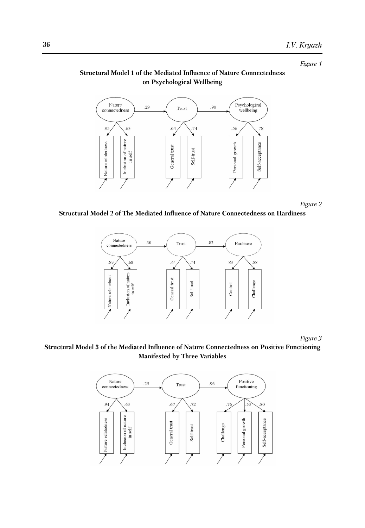*Figure 1*

## **Structural Model 1 of the Mediated Influence of Nature Connectedness on Psychological Wellbeing**



*Figure 2*

#### **Structural Model 2 of The Mediated Influence of Nature Connectedness on Hardiness**



*Figure 3*

#### **Structural Model 3 of the Mediated Influence of Nature Connectedness on Positive Functioning Manifested by Three Variables**

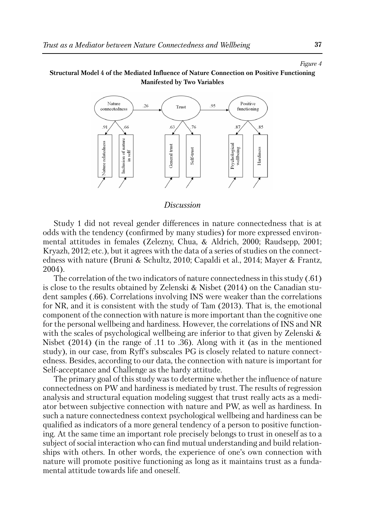#### *Figure 4*

#### **Structural Model 4 of the Mediated Influence of Nature Connection on Positive Functioning Manifested by Two Variables**



#### *Discussion*

Study 1 did not reveal gender differences in nature connectedness that is at odds with the tendency (confirmed by many studies) for more expressed environmental attitudes in females (Zelezny, Chua, & Aldrich, 2000; Raudsepp, 2001; Kryazh, 2012; etc.), but it agrees with the data of a series of studies on the connectedness with nature (Bruni & Schultz, 2010; Capaldi et al., 2014; Mayer & Frantz, 2004).

The correlation of the two indicators of nature connectedness in this study (.61) is close to the results obtained by Zelenski & Nisbet (2014) on the Canadian student samples (.66). Correlations involving INS were weaker than the correlations for NR, and it is consistent with the study of Tam (2013). That is, the emotional component of the connection with nature is more important than the cognitive one for the personal wellbeing and hardiness. However, the correlations of INS and NR with the scales of psychological wellbeing are inferior to that given by Zelenski & Nisbet (2014) (in the range of .11 to .36). Along with it (as in the mentioned study), in our case, from Ryff's subscales PG is closely related to nature connectedness. Besides, according to our data, the connection with nature is important for Self-acceptance and Challenge as the hardy attitude.

The primary goal of this study was to determine whether the influence of nature connectedness on PW and hardiness is mediated by trust. The results of regression analysis and structural equation modeling suggest that trust really acts as a mediator between subjective connection with nature and PW, as well as hardiness. In such a nature connectedness context psychological wellbeing and hardiness can be qualified as indicators of a more general tendency of a person to positive functioning. At the same time an important role precisely belongs to trust in oneself as to a subject of social interaction who can find mutual understanding and build relationships with others. In other words, the experience of one's own connection with nature will promote positive functioning as long as it maintains trust as a fundamental attitude towards life and oneself.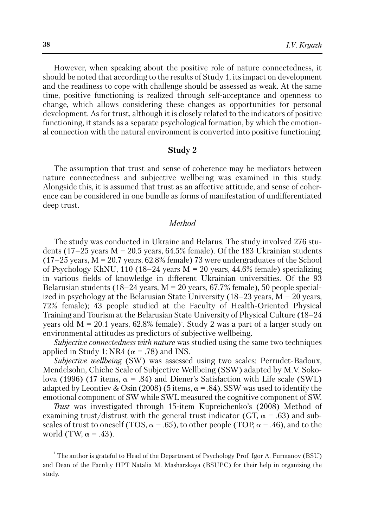However, when speaking about the positive role of nature connectedness, it should be noted that according to the results of Study 1, its impact on development and the readiness to cope with challenge should be assessed as weak. At the same time, positive functioning is realized through self-acceptance and openness to change, which allows considering these changes as opportunities for personal development. As for trust, although it is closely related to the indicators of positive functioning, it stands as a separate psychological formation, by which the emotional connection with the natural environment is converted into positive functioning.

#### **Study 2**

The assumption that trust and sense of coherence may be mediators between nature connectedness and subjective wellbeing was examined in this study. Alongside this, it is assumed that trust as an affective attitude, and sense of coherence can be considered in one bundle as forms of manifestation of undifferentiated deep trust.

## *Method*

The study was conducted in Ukraine and Belarus. The study involved 276 students (17–25 years  $M = 20.5$  years, 64.5% female). Of the 183 Ukrainian students  $(17–25 \text{ years}, M = 20.7 \text{ years}, 62.8\% \text{ female})$  73 were undergraduates of the School of Psychology KhNU, 110 (18–24 years  $M = 20$  years, 44.6% female) specializing in various fields of knowledge in different Ukrainian universities. Of the 93 Belarusian students (18–24 years,  $M = 20$  years, 67.7% female), 50 people specialized in psychology at the Belarusian State University  $(18–23 \text{ years}, M = 20 \text{ years})$ 72% female); 43 people studied at the Faculty of Health-Oriented Physical Training and Tourism at the Belarusian State University of Physical Culture (18–24 years old M = 20.1 years, 62.8% female) 1 . Study 2 was a part of a larger study on environmental attitudes as predictors of subjective wellbeing.

*Subjective connectedness with nature* was studied using the same two techniques applied in Study 1: NR4 ( $\alpha$  = .78) and INS.

*Subjective wellbeing* (SW) was assessed using two scales: Perrudet-Badoux, Mendelsohn, Chiche Scale of Subjective Wellbeing (SSW) adapted by M.V. Sokolova (1996) (17 items,  $\alpha = .84$ ) and Diener's Satisfaction with Life scale (SWL) adapted by Leontiev & Osin (2008) (5 items,  $\alpha = .84$ ). SSW was used to identify the emotional component of SW while SWL measured the cognitive component of SW.

*Trust* was investigated through 15-item Kupreichenko's (2008) Method of examining trust/distrust with the general trust indicator (GT,  $\alpha$  = .63) and subscales of trust to oneself (TOS,  $\alpha$  = .65), to other people (TOP,  $\alpha$  = .46), and to the world (TW,  $\alpha$  = .43).

<sup>1</sup> The author is grateful to Head of the Department of Psychology Prof. Igor A. Furmanov (BSU) and Dean of the Faculty HPT Natalia M. Masharskaya (BSUPC) for their help in organizing the study.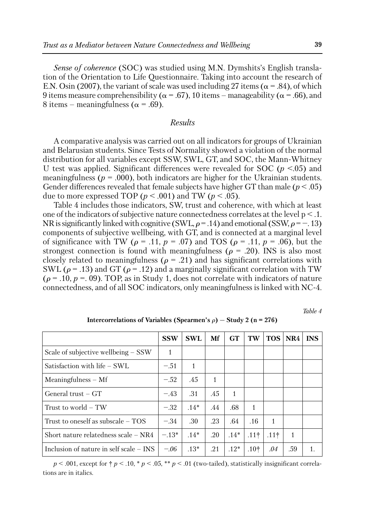*Sense of coherence* (SOC) was studied using M.N. Dymshits's English translation of the Orientation to Life Questionnaire. Taking into account the research of E.N. Osin (2007), the variant of scale was used including 27 items ( $\alpha$  = .84), of which 9 items measure comprehensibility ( $\alpha$  = .67), 10 items – manageability ( $\alpha$  = .66), and 8 items – meaningfulness ( $\alpha$  = .69).

#### *Results*

A comparative analysis was carried out on all indicators for groups of Ukrainian and Belarusian students. Since Tests of Normality showed a violation of the normal distribution for all variables except SSW, SWL, GT, and SOC, the Mann-Whitney U test was applied. Significant differences were revealed for SOC (*p* <.05) and meaningfulness ( $p = .000$ ), both indicators are higher for the Ukrainian students. Gender differences revealed that female subjects have higher GT than male (*p* < .05) due to more expressed TOP ( $p < .001$ ) and TW ( $p < .05$ ).

Table 4 includes those indicators, SW, trust and coherence, with which at least one of the indicators of subjective nature connectedness correlates at the level  $p < 1$ . NR is significantly linked with cognitive (SWL,  $\rho = .14$ ) and emotional (SSW,  $\rho = -.13$ ) components of subjective wellbeing, with GT, and is connected at a marginal level of significance with TW ( $\rho = .11$ ,  $p = .07$ ) and TOS ( $\rho = .11$ ,  $p = .06$ ), but the strongest connection is found with meaningfulness ( $\rho = .20$ ). INS is also most closely related to meaningfulness ( $\rho = .21$ ) and has significant correlations with SWL ( $\rho$  = .13) and GT ( $\rho$  = .12) and a marginally significant correlation with TW  $(\rho = .10, p = .09)$ . TOP, as in Study 1, does not correlate with indicators of nature connectedness, and of all SOC indicators, only meaningfulness is linked with NC-4.

*Table 4*

|                                           | <b>SSW</b> | <b>SWL</b> | Mf  | <b>GT</b>    | TW     | <b>TOS</b> | $\overline{\text{NR4}}$ | <b>INS</b> |
|-------------------------------------------|------------|------------|-----|--------------|--------|------------|-------------------------|------------|
| Scale of subjective wellbeing $-$ SSW     | 1          |            |     |              |        |            |                         |            |
| Satisfaction with life – SWL              | $-.51$     | 1          |     |              |        |            |                         |            |
| $Meaningfulness - Mf$                     | $-.52$     | .45        | 1   |              |        |            |                         |            |
| General $trust - GT$                      | $-.43$     | .31        | .45 | $\mathbf{1}$ |        |            |                         |            |
| Trust to world – TW                       | $-.32$     | $.14*$     | .44 | .68          | 1      |            |                         |            |
| Trust to oneself as subscale $-$ TOS      | $-.34$     | .30        | .23 | .64          | .16    | 1          |                         |            |
| Short nature relatedness scale $- NR4$    | $-.13*$    | $.14*$     | .20 | $.14*$       | $.11+$ | .111       | 1                       |            |
| Inclusion of nature in self scale $-$ INS | $-.06$     | $.13*$     | .21 | $.12*$       | $.10+$ | .04        | .59                     |            |

**Intercorrelations** of **Variables (Spearmen's**  $\rho$ **)**  $-$  **Study** 2 **(n** = 276)

 $p < .001$ , except for  $\dagger p < .10$ ,  $p < .05$ ,  $\ast p < .01$  (two-tailed), statistically insignificant correlations are in italics.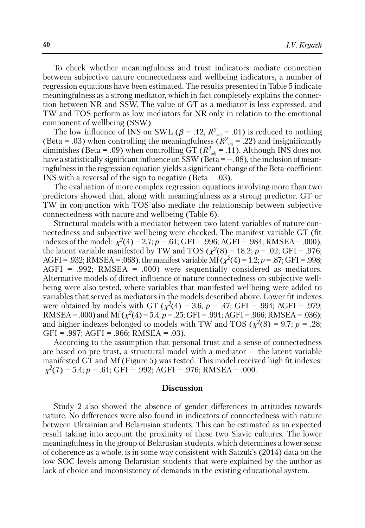To check whether meaningfulness and trust indicators mediate connection between subjective nature connectedness and wellbeing indicators, a number of regression equations have been estimated. The results presented in Table 5 indicate meaningfulness as a strong mediator, which in fact completely explains the connection between NR and SSW. The value of GT as a mediator is less expressed, and TW and TOS perform as low mediators for NR only in relation to the emotional component of wellbeing (SSW).

The low influence of INS on SWL ( $\beta$  = .12,  $R^2_{\text{adj}}$  = .01) is reduced to nothing (Beta = .03) when controlling the meaningfulness  $\overline{(R^2_{\text{adi}} - .22)}$  and insignificantly diminishes (Beta = .09) when controlling  $GT(R^2_{ad} = .11)$ . Although INS does not have a statistically significant influence on SSW (Beta  $=$   $-$ .08), the inclusion of meaningfulness in the regression equation yields a significant change of the Beta-coefficient INS with a reversal of the sign to negative (Beta = .03).

The evaluation of more complex regression equations involving more than two predictors showed that, along with meaningfulness as a strong predictor, GT or TW in conjunction with TOS also mediate the relationship between subjective connectedness with nature and wellbeing (Table 6).

Structural models with a mediator between two latent variables of nature connectedness and subjective wellbeing were checked. The manifest variable GT (fit indexes of the model:  $\chi^2(4) = 2.7$ ;  $p = .61$ ; GFI = .996; AGFI = .984; RMSEA = .000), the latent variable manifested by TW and TOS ( $\chi^2(8) = 18.2$ ; *p* = .02; GFI = .976; AGFI = .932; RMSEA = .068), the manifest variable Mf ( $\chi^2(4)$  = 1.2; *p* = .87; GFI = .998; AGFI = .992; RMSEA = .000) were sequentially considered as mediators. Alternative models of direct influence of nature connectedness on subjective wellbeing were also tested, where variables that manifested wellbeing were added to variables that served as mediators in the models described above. Lower fit indexes were obtained by models with GT ( $\chi^2(4) = 3.6$ ,  $p = .47$ ; GFI = .994; AGFI = .979; RMSEA = .000) and Mf ( $\chi^2(4)$  = 5.4;  $p = .25$ ; GFI = .991; AGFI = .966; RMSEA = .036); and higher indexes belonged to models with TW and TOS  $(\chi^2(8) = 9.7; p = .28;$ GFI =  $.997$ ; AGFI =  $.966$ ; RMSEA =  $.03$ ).

According to the assumption that personal trust and a sense of connectedness are based on pre-trust, a structural model with a mediator — the latent variable manifested GT and Mf (Figure 5) was tested. This model received high fit indexes:  $\chi^2(7) = 5.4$ ; *p* = .61; GFI = .992; AGFI = .976; RMSEA = .000.

#### **Discussion**

Study 2 also showed the absence of gender differences in attitudes towards nature. No differences were also found in indicators of connectedness with nature between Ukrainian and Belarusian students. This can be estimated as an expected result taking into account the proximity of these two Slavic cultures. The lower meaningfulness in the group of Belarusian students, which determines a lower sense of coherence as a whole, is in some way consistent with Satzuk's (2014) data on the low SOC levels among Belarusian students that were explained by the author as lack of choice and inconsistency of demands in the existing educational system.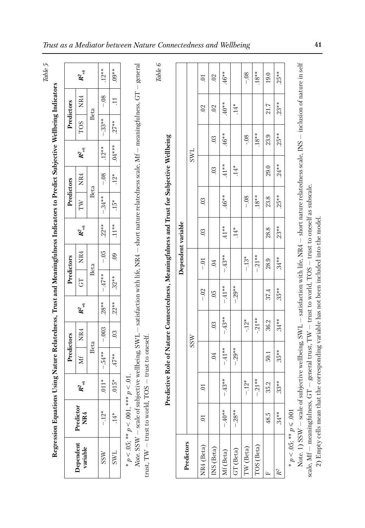| Predictors | $\boldsymbol{R}^2_{\rm adj}$<br>NR4<br><b>TOS</b><br>$\boldsymbol{R}^2_{\text{adj}}$<br>NR4 | Beta<br>Beta | $.12***$<br>$-08$<br>$-33**$<br>$.12***$<br>$-08$ | $.09**$<br>$\Xi$<br>$27**$<br>$.04***$<br>$.12*$ | general<br>satisfaction with life, NR4 - short nature relatedness scale, Mf - meaningfulness, GT | $Table 6$<br>Predictive Role of Nature Connectedness, Meaningfulness and Trust for Subjective Wellbeing |                    | SWL        | $\sum$<br>$\ddot{\mathrm{C}}$ | 0 <sup>2</sup><br>$\ddot{\circ}$<br>0 <sup>3</sup><br>0 <sup>3</sup> | 46**<br>$*0^{**}$<br>46**<br>$.41***$ | $.14*$<br>$.14*$ | $-0.8$<br>$-0.08$ | $18**$<br>$.18***$ | 19.0<br>21.7<br>23.9<br>29.0 | $.25**$<br>$.23**$<br>$.25**$<br>$.24***$ | $\overline{1}$<br>$\ddot{ }$<br>$1 - TNT$   |
|------------|---------------------------------------------------------------------------------------------|--------------|---------------------------------------------------|--------------------------------------------------|--------------------------------------------------------------------------------------------------|---------------------------------------------------------------------------------------------------------|--------------------|------------|-------------------------------|----------------------------------------------------------------------|---------------------------------------|------------------|-------------------|--------------------|------------------------------|-------------------------------------------|---------------------------------------------|
| Predictors | TW                                                                                          |              | $.34**$<br>$\overline{1}$                         | $15*$                                            |                                                                                                  |                                                                                                         |                    |            | $\ddot{0}$                    |                                                                      | .46**                                 |                  | $-0.8$            | $.18***$           | 23.8                         | $.25**$                                   |                                             |
|            | $\boldsymbol{R}^2$ adj                                                                      |              | $.22***$                                          | $.11***$                                         |                                                                                                  |                                                                                                         |                    |            | 0 <sup>3</sup>                |                                                                      | $41**$                                | $14*$            |                   |                    | 28.8                         | $.23**$                                   |                                             |
| Predictors | NR4                                                                                         | Beta         | $-0.5$                                            | $_{\rm 9}$                                       |                                                                                                  |                                                                                                         | Dependent variable |            | $-0$                          | $\sim$                                                               | 43**<br>$\mathbf{I}$                  |                  | $-13*$            | $-21**$            | 28.9                         | $34**$                                    | $11.1 \cdot 11.1$                           |
|            | 5                                                                                           |              | $-47**$                                           | $.32**$                                          |                                                                                                  |                                                                                                         |                    |            | $-.02$                        | $\ddot{\circ}$                                                       | $41**$                                | $-.29**$         |                   |                    | 37.4                         | $35**$                                    |                                             |
|            | $\boldsymbol{R}^2$ adj                                                                      |              | $.28**$                                           | $.22***$                                         |                                                                                                  |                                                                                                         |                    |            |                               |                                                                      | T                                     |                  |                   |                    |                              |                                           |                                             |
|            | NR4                                                                                         |              | $-.003$                                           | 0 <sup>3</sup>                                   |                                                                                                  |                                                                                                         |                    | <b>SSW</b> |                               | $\ddot{\mathrm{c}}$                                                  | .43**<br>Т                            |                  | $-12*$            | $-21**$            | 36.2                         | $.34**$                                   | 57777                                       |
| Predictors | ΣÍ                                                                                          | Beta         | $-.54**$                                          | $47**$                                           | ective wellbeing, SWL                                                                            |                                                                                                         |                    |            |                               | $\overline{0}$                                                       | $.41**$<br>$\mathsf{I}$               | $-29**$          |                   |                    | 50.1                         | $35**$                                    | Ę                                           |
|            | $R^2_{\text{adj}}$                                                                          |              | $.011*$                                           | $.015*$                                          | $p<.01$ .                                                                                        |                                                                                                         |                    |            | $\overline{c}$                |                                                                      | $-43**$                               |                  | $-12*$            | $-.21**$           | 35.2                         | $33**$                                    | $\ddot{a}$                                  |
|            | Predictor<br>NR4                                                                            |              | $-12*$                                            | $14*$                                            | * $p < 0.05$ ; ** $p < 0.01$ , ***<br>Note. SSW - scale of subj                                  |                                                                                                         |                    |            | $\sum$                        |                                                                      | $-40**$                               | $-28**$          |                   |                    | 48.5                         | $34**$                                    | $\frac{1}{2}$                               |
|            | Dependent<br>variable                                                                       |              | SSW                                               | <b>SWL</b>                                       | trust, $TW -$ trust to world, $TOS -$ trust to oneself.                                          |                                                                                                         | Predictors         |            | NR4 (Beta)                    | INS (Beta)                                                           | Mf (Beta)                             | GT (Beta)        | TW (Beta)         | TOS (Beta)         | Щ                            | $\mathbb{R}^2$                            | * $p$ < .05; ** $p$ ≤ .001<br>$\frac{1}{2}$ |

Note. 1) SSW scale of subjective wellbeing, SW  $\exists$  satisfaction with life, N R4 — short nature relatedness scale, INS — inclusion of nature in self scale, Mf meaningfulness, G Ļ۲. general trust, T  $\geq$  $-$  trust to world,  $T$ OS — trust to oneself as subscale. 2) Empty cells mean that the corresponding variable has not been included into the model. mpty cells mean that the corresponding variable has not been included into the model.

*Trust as a Mediator between Nature Connectedness and Wellbeing* **41**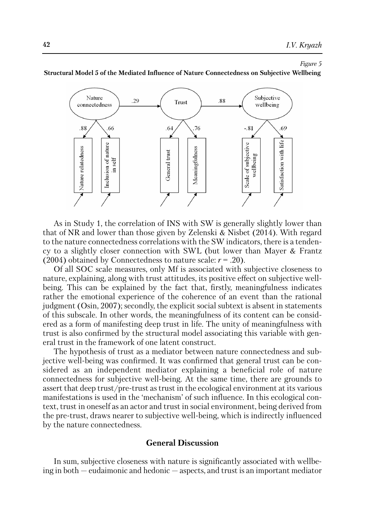*Figure 5*



**Structural Model 5 of the Mediated Influence of Nature Connectedness on Subjective Wellbeing**

As in Study 1, the correlation of INS with SW is generally slightly lower than that of NR and lower than those given by Zelenski & Nisbet (2014). With regard to the nature connectedness correlations with the SW indicators, there is a tendency to a slightly closer connection with SWL (but lower than Mayer & Frantz (2004) obtained by Connectedness to nature scale:  $r = .20$ ).

Of all SOC scale measures, only Mf is associated with subjective closeness to nature, explaining, along with trust attitudes, its positive effect on subjective wellbeing. This can be explained by the fact that, firstly, meaningfulness indicates rather the emotional experience of the coherence of an event than the rational judgment (Osin, 2007); secondly, the explicit social subtext is absent in statements of this subscale. In other words, the meaningfulness of its content can be considered as a form of manifesting deep trust in life. The unity of meaningfulness with trust is also confirmed by the structural model associating this variable with general trust in the framework of one latent construct.

The hypothesis of trust as a mediator between nature connectedness and subjective well-being was confirmed. It was confirmed that general trust can be considered as an independent mediator explaining a beneficial role of nature connectedness for subjective well-being. At the same time, there are grounds to assert that deep trust/pre-trust as trust in the ecological environment at its various manifestations is used in the 'mechanism' of such influence. In this ecological context, trust in oneself as an actor and trust in social environment, being derived from the pre-trust, draws nearer to subjective well-being, which is indirectly influenced by the nature connectedness.

## **General Discussion**

In sum, subjective closeness with nature is significantly associated with wellbeing in both — eudaimonic and hedonic — aspects, and trust is an important mediator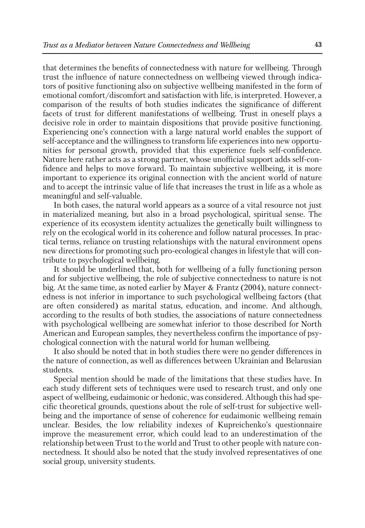that determines the benefits of connectedness with nature for wellbeing. Through trust the influence of nature connectedness on wellbeing viewed through indicators of positive functioning also on subjective wellbeing manifested in the form of emotional comfort/discomfort and satisfaction with life, is interpreted. However, a comparison of the results of both studies indicates the significance of different facets of trust for different manifestations of wellbeing. Trust in oneself plays a decisive role in order to maintain dispositions that provide positive functioning. Experiencing one's connection with a large natural world enables the support of self-acceptance and the willingness to transform life experiences into new opportunities for personal growth, provided that this experience fuels self-confidence. Nature here rather acts as a strong partner, whose unofficial support adds self-confidence and helps to move forward. To maintain subjective wellbeing, it is more important to experience its original connection with the ancient world of nature and to accept the intrinsic value of life that increases the trust in life as a whole as meaningful and self-valuable.

In both cases, the natural world appears as a source of a vital resource not just in materialized meaning, but also in a broad psychological, spiritual sense. The experience of its ecosystem identity actualizes the genetically built willingness to rely on the ecological world in its coherence and follow natural processes. In practical terms, reliance on trusting relationships with the natural environment opens new directions for promoting such pro-ecological changes in lifestyle that will contribute to psychological wellbeing.

It should be underlined that, both for wellbeing of a fully functioning person and for subjective wellbeing, the role of subjective connectedness to nature is not big. At the same time, as noted earlier by Mayer & Frantz (2004), nature connectedness is not inferior in importance to such psychological wellbeing factors (that are often considered) as marital status, education, and income. And although, according to the results of both studies, the associations of nature connectedness with psychological wellbeing are somewhat inferior to those described for North American and European samples, they nevertheless confirm the importance of psychological connection with the natural world for human wellbeing.

It also should be noted that in both studies there were no gender differences in the nature of connection, as well as differences between Ukrainian and Belarusian students.

Special mention should be made of the limitations that these studies have. In each study different sets of techniques were used to research trust, and only one aspect of wellbeing, eudaimonic or hedonic, was considered. Although this had specific theoretical grounds, questions about the role of self-trust for subjective wellbeing and the importance of sense of coherence for eudaimonic wellbeing remain unclear. Besides, the low reliability indexes of Kupreichenko's questionnaire improve the measurement error, which could lead to an underestimation of the relationship between Trust to the world and Trust to other people with nature connectedness. It should also be noted that the study involved representatives of one social group, university students.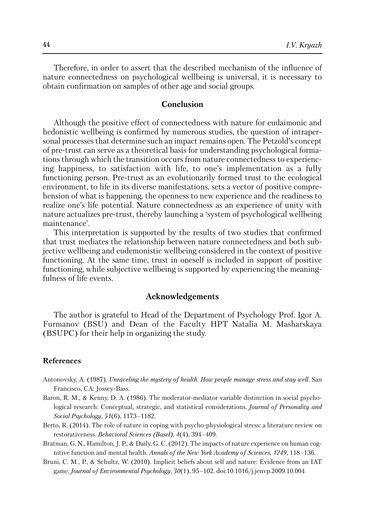Therefore, in order to assert that the described mechanism of the influence of nature connectedness on psychological wellbeing is universal, it is necessary to obtain confirmation on samples of other age and social groups.

## **Conclusion**

Although the positive effect of connectedness with nature for eudaimonic and hedonistic wellbeing is confirmed by numerous studies, the question of intrapersonal processes that determine such an impact remains open. The Petzold's concept of pre-trust can serve as a theoretical basis for understanding psychological formations through which the transition occurs from nature connectedness to experiencing happiness, to satisfaction with life, to one's implementation as a fully functioning person. Pre-trust as an evolutionarily formed trust to the ecological environment, to life in its diverse manifestations, sets a vector of positive comprehension of what is happening, the openness to new experience and the readiness to realize one's life potential. Nature connectedness as an experience of unity with nature actualizes pre-trust, thereby launching a 'system of psychological wellbeing maintenance'.

This interpretation is supported by the results of two studies that confirmed that trust mediates the relationship between nature connectedness and both subjective wellbeing and eudemonistic wellbeing considered in the context of positive functioning. At the same time, trust in oneself is included in support of positive functioning, while subjective wellbeing is supported by experiencing the meaningfulness of life events.

## **Acknowledgements**

The author is grateful to Head of the Department of Psychology Prof. Igor A. Furmanov (BSU) and Dean of the Faculty HPT Natalia M. Masharskaya (BSUPC) for their help in organizing the study.

#### **References**

- Antonovsky, A. (1987). *Unraveling the mystery of health. How people manage stress and stay well*. San Francisco, CA: Jossey-Bass.
- Baron, R. M., & Kenny, D. A. (1986). The moderator-mediator variable distinction in social psychological research: Conceptual, strategic, and statistical considerations. *Journal of Personality and Social Psychology*, *51*(6), 1173–1182.
- Berto, R. (2014). The role of nature in coping with psycho-physiological stress: a literature review on restorativeness. *Behavioral Sciences (Basel)*, *4*(4), 394–409.
- Bratman, G. N., Hamilton, J. P., & Daily, G. C. (2012). The impacts of nature experience on human cognitive function and mental health. *Annals of the New York Academy of Sciences*, *1249*, 118–136.
- Bruni, C. M., P., & Schultz, W. (2010). Implicit beliefs about self and nature: Evidence from an IAT game. *Journal of Environmental Psychology*, *30*(1), 95–102. doi:10.1016/j.jenvp.2009.10.004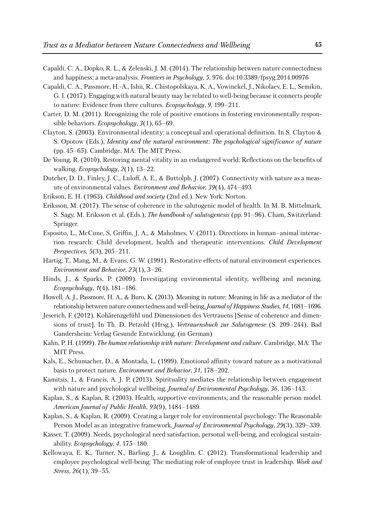- Capaldi, C. A., Dopko, R. L., & Zelenski, J. M. (2014). The relationship between nature connectedness and happiness: a meta-analysis. *Frontiers in Psychology*, *5*, 976. doi:10.3389/fpsyg.2014.00976
- Capaldi, C. A., Passmore, H.-A., Ishii, R., Chistopolskaya, K. A., Vowinckel, J., Nikolaev, E. L., Semikin, G. I. (2017). Engaging with natural beauty may be related to well-being because it connects people to nature: Evidence from three cultures. *Ecopsychology*, *9*, 199–211.
- Carter, D. M. (2011). Recognizing the role of positive emotions in fostering environmentally responsible behaviors. *Ecopsychology*, *3*(1), 65–69.
- Clayton, S. (2003). Environmental identity: a conceptual and operational definition. In S. Clayton & S. Opotow (Eds.), *Identity and the natural environment: The psychological significance of nature* (pp. 45–65). Cambridge, MA: The MIT Press.
- De Young, R. (2010). Restoring mental vitality in an endangered world: Reflections on the benefits of walking. *Ecopsychology*, *2*(1), 13–22.
- Dutcher, D. D., Finley, J. C., Luloff, A. E., & Buttolph, J. (2007). Connectivity with nature as a measure of environmental values. *Environment and Behavior*, *39*(4), 474–493.
- Erikson, E. H. (1963). *Childhood and society* (2nd ed.). New York: Norton.
- Eriksson, M. (2017). The sense of coherence in the salutogenic model of health. In M. B. Mittelmark, S. Sagy, M. Eriksson et al. (Eds.), *The handbook of salutogenesis* (pp. 91–96). Cham, Switzerland: Springer.
- Esposito, L., McCune, S, Griffin, J. A., & Maholmes, V. (2011). Directions in human–animal interaction research: Child development, health and therapeutic interventions. *Child Development Perspectives*, *5*(3), 205–211.
- Hartig, T., Mang, M., & Evans, G. W. (1991). Restorative effects of natural environment experiences. *Environment and Behavior*, *23*(1), 3–26.
- Hinds, J., & Sparks, P. (2009). Investigating environmental identity, wellbeing and meaning. *Ecopsychology*, *1*(4), 181–186.
- Howell, A. J., Passmore, H. A., & Buro, K. (2013). Meaning in nature: Meaning in life as a mediator of the relationship between nature connectedness and well-being.*Journal of Happiness Studies*, *14*, 1681–1696.
- Jeserich, F. (2012). Kohärenzgefühl und Dimensionen des Vertrauens [Sense of coherence and dimensions of trust]. In Th. D. Petzold (Hrsg.), *Vertrauensbuch zur Salutogenese* (S. 209–244). Bad Gandersheim: Verlag Gesunde Entwicklung. (in German)
- Kahn, P. H. (1999). *The human relationship with nature: Development and culture*. Cambridge, MA: The MIT Press.
- Kals, E., Schumacher, D., & Montada, L. (1999). Emotional affinity toward nature as a motivational basis to protect nature. *Environment and Behavior*, *31*, 178–202.
- Kamitsis, I., & Francis, A. J. P. (2013). Spirituality mediates the relationship between engagement with nature and psychological wellbeing. *Journal of Environmental Psychology*, *36*, 136–143.
- Kaplan, S., & Kaplan, R. (2003). Health, supportive environments, and the reasonable person model. *American Journal of Public Health*, *93*(9), 1484–1489.
- Kaplan, S., & Kaplan, R. (2009). Creating a larger role for environmental psychology: The Reasonable Person Model as an integrative framework. *Journal of Environmental Psychology*, *29*(3), 329–339.
- Kasser, T. (2009). Needs, psychological need satisfaction, personal well-being, and ecological sustainability. *Ecopsychology*, *4*, 175–180.
- Kellowaya, E. K., Turner, N., Barling, J., & Loughlin, C. (2012). Transformational leadership and employee psychological well-being: The mediating role of employee trust in leadership. *Work and Stress, 26*(1), 39–55.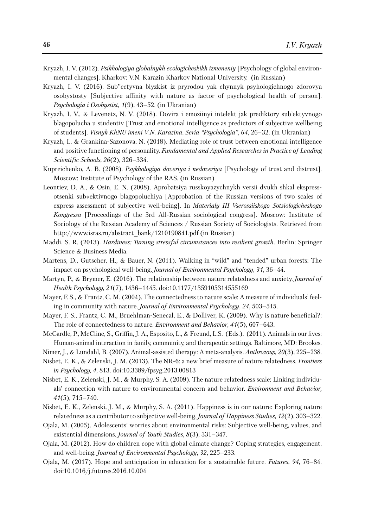- Kryazh, I. V. (2012). *Psikhologiya globalnykh ecologicheskikh izmeneniy* [Psychology of global environmental changes]. Kharkov: V.N. Karazin Kharkov National University. (in Russian)
- Kryazh, I. V. (2016). Sub''ectyvna blyzkist iz pryrodou yak chynnyk psyhologichnogo zdorovya osobystosty [Subjective affinity with nature as factor of psychological health of person]. *Psychologia i Osobystist, 1*(9), 43–52. (in Ukranian)
- Kryazh, I. V., & Levenetz, N. V. (2018). Dovira i emoziinyi intelekt jak prediktory sub'ektyvnogo blagopolucha u studentiv [Trust and emotional intelligence as predictors of subjective wellbeing of students]. *Visnyk KhNU imeni V.N. Karazina. Seria "Psychologia"*, *64*, 26–32. (in Ukranian)
- Kryazh, I., & Grankina-Sazonova, N. (2018). Mediating role of trust between emotional intelligence and positive functioning of personality. *Fundamental and Applied Researches in Practice of Leading Scientific Schools*, *26*(2), 326–334.
- Kupreichenko, A. B. (2008). *Psykhologiya doveriya i nedoveriya* [Psychology of trust and distrust]. Moscow: Institute of Psychology of the RAS. (in Russian)
- Leontiev, D. A., & Osin, E. N. (2008). Aprobatsiya russkoyazychnykh versii dvukh shkal ekspressotsenki sub»ektivnogo blagopoluchiya [Approbation of the Russian versions of two scales of express assessment of subjective well-being]. In *Materialy III Vserossiiskogo Sotsiologicheskogo Kongressa* [Proceedings of the 3rd All-Russian sociological congress]*.* Moscow: Institute of Sociology of the Russian Academy of Sciences / Russian Society of Sociologists. Retrieved from http://www.isras.ru/abstract\_bank/1210190841.pdf (in Russian)
- Maddi, S. R. (2013). *Hardiness: Turning stressful circumstances into resilient growth*. Berlin: Springer Science & Business Media.
- Martens, D., Gutscher, H., & Bauer, N. (2011). Walking in "wild" and "tended" urban forests: The impact on psychological well-being. *Journal of Environmental Psychology*, *31*, 36–44.
- Martyn, P., & Brymer, E. (2016). The relationship between nature relatedness and anxiety. *Journal of Health Psychology, 21*(7), 1436–1445. doi:10.1177/1359105314555169
- Mayer, F. S., & Frantz, C. M. (2004). The connectedness to nature scale: A measure of individuals' feeling in community with nature. *Journal of Environmental Psychology*, *24*, 503–515.
- Mayer, F. S., Frantz, C. M., Bruehlman-Senecal, E., & Dolliver, K. (2009). Why is nature beneficial?: The role of connectedness to nature. *Environment and Behavior*, *41*(5), 607–643.
- McCardle, P., McCline, S., Griffin, J. A., Esposito, L., & Freund, L.S. (Eds.). (2011). Animalsin ourlives: Human-animal interaction in family, community, and therapeutic settings. Baltimore, MD: Brookes.
- Nimer, J., & Lundahl, B. (2007). Animal-assisted therapy: A meta-analysis. *Anthrozoцs, 20*(3), 225–238.
- Nisbet, E. K., & Zelenski, J. M. (2013). The NR-6: a new brief measure of nature relatedness. *Frontiers in Psychology, 4*, 813. doi:10.3389/fpsyg.2013.00813
- Nisbet, E. K., Zelenski, J. M., & Murphy, S. A. (2009). The nature relatedness scale: Linking individuals' connection with nature to environmental concern and behavior. *Environment and Behavior, 41*(5), 715–740.
- Nisbet, E. K., Zelenski, J. M., & Murphy, S. A. (2011). Happiness is in our nature: Exploring nature relatedness as a contributor to subjective well-being. *Journal of Happiness Studies, 12*(2), 303–322.
- Ojala, M. (2005). Adolescents' worries about environmental risks: Subjective well-being, values, and existential dimensions. *Journal of Youth Studies*, *8*(3), 331–347.
- Ojala, M. (2012). How do children cope with global climate change? Coping strategies, engagement, and well-being. *Journal of Environmental Psychology*, *32*, 225–233.
- Ojala, M. (2017). Hope and anticipation in education for a sustainable future. *Futures*, *94*, 76–84. doi:10.1016/j.futures.2016.10.004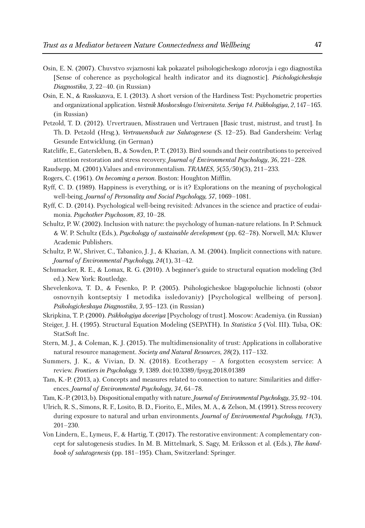- Osin, E. N. (2007). Chuvstvo svjaznosni kak pokazatel psihologicheskogo zdorovja i ego diagnostika [Sense of coherence as psychological health indicator and its diagnostic]. *Psichologicheskaja Diagnostika*, *3*, 22–40. (in Russian)
- Osin, E. N., & Rasskazova, E. I. (2013). A short version of the Hardiness Test: Psychometric properties and organizational application. *Vestnik Moskovskogo Universiteta*. *Seriya 14. Psikhologiya, 2*, 147–165. (in Russian)
- Petzold, T. D. (2012). Urvertrauen, Misstrauen und Vertrauen [Basic trust, mistrust, and trust]. In Th. D. Petzold (Hrsg.), *Vertrauensbuch zur Salutogenese* (S. 12–25). Bad Gandersheim: Verlag Gesunde Entwicklung. (in German)
- Ratcliffe, E., Gatersleben, B., & Sowden, P. T. (2013). Bird sounds and their contributions to perceived attention restoration and stress recovery. *Journal of Environmental Psychology*, *36*, 221–228.
- Raudsepp, M. (2001).Values and environmentalism. *TRAMES, 5*(55/50)(3), 211–233.
- Rogers, C. (1961). *On becoming a person*. Boston: Houghton Mifflin.
- Ryff, C. D. (1989). Happiness is everything, or is it? Explorations on the meaning of psychological well-being. *Journal of Personality and Social Psychology, 57*, 1069–1081.
- Ryff, C. D. (2014). Psychological well-being revisited: Advances in the science and practice of eudaimonia. *Psychother Psychosom*, *83*, 10–28.
- Schultz, P. W. (2002). Inclusion with nature: the psychology of human-nature relations. In P. Schmuck & W. P. Schultz (Eds.), *Psychology of sustainable development* (pp. 62–78). Norwell, MA: Kluwer Academic Publishers.
- Schultz, P. W., Shriver, C., Tabanico, J. J., & Khazian, A. M. (2004). Implicit connections with nature. *Journal of Environmental Psychology, 24*(1), 31–42.
- Schumacker, R. E., & Lomax, R. G. (2010). A beginner's guide to structural equation modeling (3rd ed.). New York: Routledge.
- Shevelenkova, T. D., & Fesenko, P. P. (2005). Psihologicheskoe blagopoluchie lichnosti (obzor osnovnyih kontseptsiy I metodika issledovaniy) [Psychological wellbeing of person]. *Psihologicheskaya Diagnostika*, *3*, 95–123. (in Russian)

Skripkina, T. P. (2000). *Psikhologiya doveriya* [Psychology of trust]. Moscow: Academiya. (in Russian)

- Steiger, J. H. (1995). Structural Equation Modeling (SEPATH). In *Statistica 5* (Vol. III). Tulsa, OK: StatSoft Inc.
- Stern, M. J., & Coleman, K. J. (2015). The multidimensionality of trust: Applications in collaborative natural resource management. *Society and Natural Resources*, *28*(2), 117–132.
- Summers, J. K., & Vivian, D. N. (2018). Ecotherapy A forgotten ecosystem service: A review. *Frontiers in Psychology. 9*, 1389. doi:10.3389/fpsyg.2018.01389
- Tam, K.-P. (2013, a). Concepts and measures related to connection to nature: Similarities and differences. *Journal of Environmental Psychology*, *34*, 64–78.
- Tam, K.-P. (2013, b). Dispositional empathy with nature.*Journal of Environmental Psychology*, *35*, 92–104.
- Ulrich, R. S., Simons, R. F., Losito, B. D., Fiorito, E., Miles, M. A., & Zelson, M. (1991). Stress recovery during exposure to natural and urban environments. *Journal of Environmental Psychology, 11*(3), 201–230.
- Von Lindern, E., Lymeus, F., & Hartig, T. (2017). The restorative environment: A complementary concept for salutogenesis studies. In M. B. Mittelmark, S. Sagy, M. Eriksson et al. (Eds.), *The handbook of salutogenesis* (pp. 181–195). Cham, Switzerland: Springer.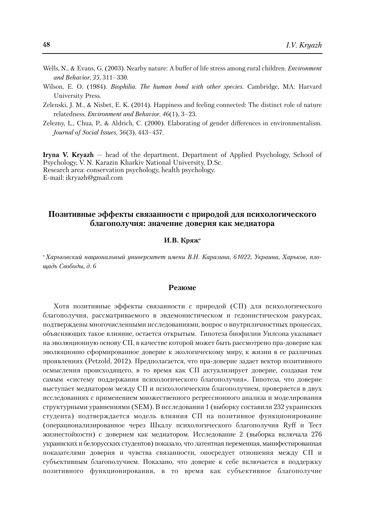- Wells, N., & Evans, G. (2003). Nearby nature: A buffer of life stress among rural children. *Environment and Behavior*, *35*, 311–330.
- Wilson, E. O. (1984). *Biophilia*. *The human bond with other species*. Cambridge, MA: Harvard University Press.
- Zelenski, J. M., & Nisbet, E. K. (2014). Happiness and feeling connected: The distinct role of nature relatedness. *Environment and Behavior*, *46*(1), 3–23.
- Zelezny, L., Chua, P., & Aldrich, C. (2000). Elaborating of gender differences in environmentalism. *Journal of Social Issues, 56*(3), 443–457.

**Iryna V. Kryazh** — head of the department, Department of Applied Psychology, School of Psychology, V. N. Karazin Kharkiv National University, D.Sc. Research area: conservation psychology, health psychology. E-mail: ikryazh@gmail.com

## **Позитивные эффекты связанности с природой для психологического благополучия: значение доверия как медиатора**

#### **И.В. Кряжa**

*<sup>а</sup> Харьковский национальный университет имени В.Н. Каразина, 61022, Украина, Харьков, площадь Свободы, д. 6*

#### **Резюме**

Хотя позитивные эффекты связанности с природой (СП) для психологического благополучия, рассматриваемого в эвдемонистическом и гедонистическом ракурсах, подтверждены многочисленными исследованиями, вопрос о внутриличностных процессах, объясняющих такое влияние, остается открытым. Гипотеза биофилии Уилсона указывает на эволюционную основу СП, в качестве которой может быть рассмотрено пра-доверие как эволюционно сформированное доверие к экологическому миру, к жизни в ее различных проявлениях (Petzold, 2012). Предполагается, что пра-доверие задает вектор позитивного осмысления происходящего, в то время как СП актуализирует доверие, создавая тем самым «систему поддержания психологического благополучия». Гипотеза, что доверие выступает медиатором между СП и психологическим благополучием, проверяется в двух исследованиях с применением множественного регрессионного анализа и моделирования структурными уравнениями (SEM). В исследовании 1 (выборку составили 232 украинских студента) подтверждается модель влияния СП на позитивное функционирование (операционализированное через Шкалу психологического благополучия Ryff и Тест жизнестойкости) с доверием как медиатором. Исследование 2 (выборка включала 276 украинских и белорусских студентов) показало, что латентная переменная, манифестированная показателями доверия и чувства связанности, опосредует отношения между СП и субъективным благополучием. Показано, что доверие к себе включается в поддержку позитивного функционирования, в то время как субъективное благополучие